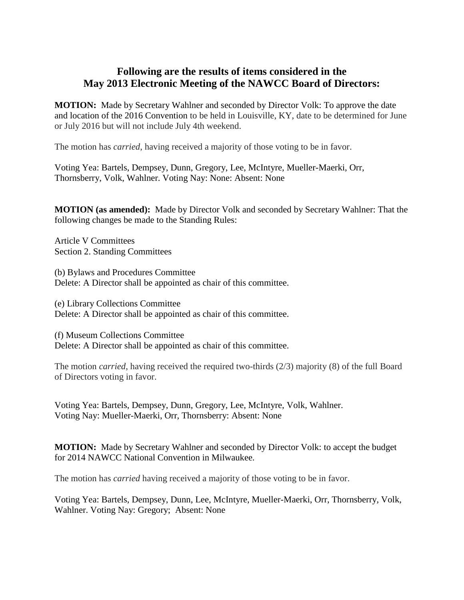## **Following are the results of items considered in the May 2013 Electronic Meeting of the NAWCC Board of Directors:**

**MOTION:** Made by Secretary Wahlner and seconded by Director Volk: To approve the date and location of the 2016 Convention to be held in Louisville, KY, date to be determined for June or July 2016 but will not include July 4th weekend.

The motion has *carried*, having received a majority of those voting to be in favor.

Voting Yea: Bartels, Dempsey, Dunn, Gregory, Lee, McIntyre, Mueller-Maerki, Orr, Thornsberry, Volk, Wahlner. Voting Nay: None: Absent: None

**MOTION (as amended):** Made by Director Volk and seconded by Secretary Wahlner: That the following changes be made to the Standing Rules:

Article V Committees Section 2. Standing Committees

(b) Bylaws and Procedures Committee Delete: A Director shall be appointed as chair of this committee.

(e) Library Collections Committee Delete: A Director shall be appointed as chair of this committee.

(f) Museum Collections Committee Delete: A Director shall be appointed as chair of this committee.

The motion *carried*, having received the required two-thirds (2/3) majority (8) of the full Board of Directors voting in favor.

Voting Yea: Bartels, Dempsey, Dunn, Gregory, Lee, McIntyre, Volk, Wahlner. Voting Nay: Mueller-Maerki, Orr, Thornsberry: Absent: None

**MOTION:** Made by Secretary Wahlner and seconded by Director Volk: to accept the budget for 2014 NAWCC National Convention in Milwaukee.

The motion has *carried* having received a majority of those voting to be in favor.

Voting Yea: Bartels, Dempsey, Dunn, Lee, McIntyre, Mueller-Maerki, Orr, Thornsberry, Volk, Wahlner. Voting Nay: Gregory; Absent: None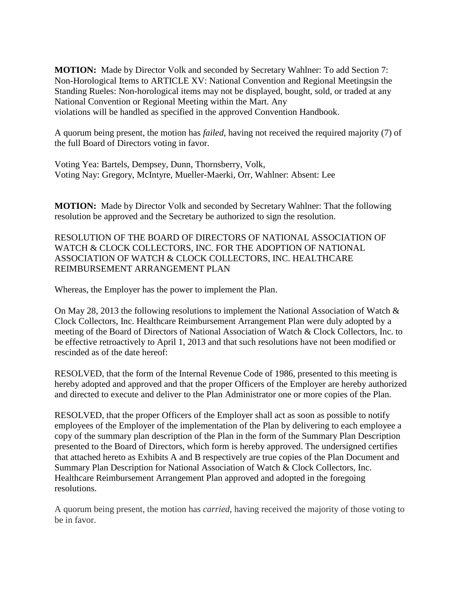**MOTION:** Made by Director Volk and seconded by Secretary Wahlner: To add Section 7: Non-Horological Items to ARTICLE XV: National Convention and Regional Meetingsin the Standing Rueles: Non-horological items may not be displayed, bought, sold, or traded at any National Convention or Regional Meeting within the Mart. Any violations will be handled as specified in the approved Convention Handbook.

A quorum being present, the motion has *failed*, having not received the required majority (7) of the full Board of Directors voting in favor.

Voting Yea: Bartels, Dempsey, Dunn, Thornsberry, Volk, Voting Nay: Gregory, McIntyre, Mueller-Maerki, Orr, Wahlner: Absent: Lee

**MOTION:** Made by Director Volk and seconded by Secretary Wahlner: That the following resolution be approved and the Secretary be authorized to sign the resolution.

RESOLUTION OF THE BOARD OF DIRECTORS OF NATIONAL ASSOCIATION OF WATCH & CLOCK COLLECTORS, INC. FOR THE ADOPTION OF NATIONAL ASSOCIATION OF WATCH & CLOCK COLLECTORS, INC. HEALTHCARE REIMBURSEMENT ARRANGEMENT PLAN

Whereas, the Employer has the power to implement the Plan.

On May 28, 2013 the following resolutions to implement the National Association of Watch  $\&$ Clock Collectors, Inc. Healthcare Reimbursement Arrangement Plan were duly adopted by a meeting of the Board of Directors of National Association of Watch & Clock Collectors, Inc. to be effective retroactively to April 1, 2013 and that such resolutions have not been modified or rescinded as of the date hereof:

RESOLVED, that the form of the Internal Revenue Code of 1986, presented to this meeting is hereby adopted and approved and that the proper Officers of the Employer are hereby authorized and directed to execute and deliver to the Plan Administrator one or more copies of the Plan.

RESOLVED, that the proper Officers of the Employer shall act as soon as possible to notify employees of the Employer of the implementation of the Plan by delivering to each employee a copy of the summary plan description of the Plan in the form of the Summary Plan Description presented to the Board of Directors, which form is hereby approved. The undersigned certifies that attached hereto as Exhibits A and B respectively are true copies of the Plan Document and Summary Plan Description for National Association of Watch & Clock Collectors, Inc. Healthcare Reimbursement Arrangement Plan approved and adopted in the foregoing resolutions.

A quorum being present, the motion has *carried*, having received the majority of those voting to be in favor.